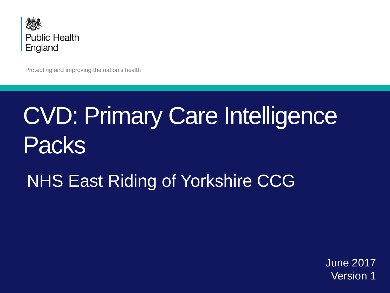

Protecting and improving the nation's health

# CVD: Primary Care Intelligence Packs

# NHS East Riding of Yorkshire CCG

June 2017 Version 1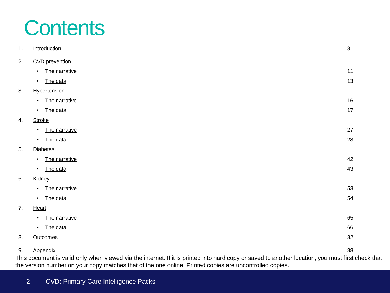# **Contents**

| 1. | Introduction                                                                                                                            | $\mathfrak{S}$ |
|----|-----------------------------------------------------------------------------------------------------------------------------------------|----------------|
| 2. | <b>CVD</b> prevention                                                                                                                   |                |
|    | The narrative<br>$\bullet$                                                                                                              | 11             |
|    | The data<br>$\bullet$                                                                                                                   | 13             |
| 3. | Hypertension                                                                                                                            |                |
|    | The narrative<br>$\bullet$                                                                                                              | 16             |
|    | The data<br>$\bullet$                                                                                                                   | 17             |
| 4. | <b>Stroke</b>                                                                                                                           |                |
|    | The narrative<br>$\bullet$                                                                                                              | 27             |
|    | The data<br>$\bullet$                                                                                                                   | 28             |
| 5. | <b>Diabetes</b>                                                                                                                         |                |
|    | The narrative<br>$\bullet$                                                                                                              | 42             |
|    | The data<br>$\bullet$                                                                                                                   | 43             |
| 6. | Kidney                                                                                                                                  |                |
|    | The narrative<br>$\bullet$                                                                                                              | 53             |
|    | The data<br>$\bullet$                                                                                                                   | 54             |
| 7. | Heart                                                                                                                                   |                |
|    | The narrative<br>$\bullet$                                                                                                              | 65             |
|    | The data<br>$\bullet$                                                                                                                   | 66             |
| 8. | <b>Outcomes</b>                                                                                                                         | 82             |
| 9. | Appendix                                                                                                                                | 88             |
|    | his desument is valid only when viewed via the internet. If it is printed into berd copy or soved to enother legation, you must first a |                |

This document is valid only when viewed via the internet. If it is printed into hard copy or saved to another location, you must first check that the version number on your copy matches that of the one online. Printed copies are uncontrolled copies.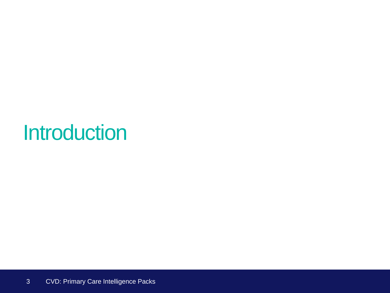# <span id="page-2-0"></span>**Introduction**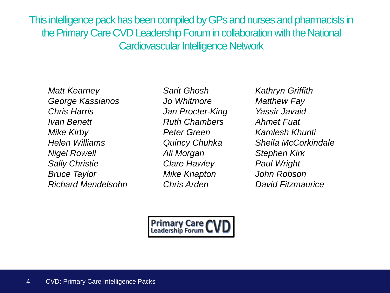This intelligence pack has been compiled by GPs and nurses and pharmacists in the Primary Care CVD Leadership Forum in collaboration with the National Cardiovascular Intelligence Network

*Matt Kearney Sarit Ghosh Kathryn Griffith George Kassianos Jo Whitmore Matthew Fay Chris Harris Jan Procter-King Yassir Javaid Ivan Benett Ruth Chambers Ahmet Fuat Mike Kirby Peter Green Kamlesh Khunti Helen Williams Quincy Chuhka Sheila McCorkindale Nigel Rowell Ali Morgan Stephen Kirk Sally Christie Clare Hawley Paul Wright Bruce Taylor Mike Knapton John Robson Richard Mendelsohn Chris Arden David Fitzmaurice*

**Primary Care CV**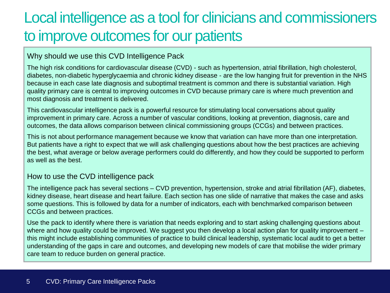# Local intelligence as a tool for clinicians and commissioners to improve outcomes for our patients

Why should we use this CVD Intelligence Pack

The high risk conditions for cardiovascular disease (CVD) - such as hypertension, atrial fibrillation, high cholesterol, diabetes, non-diabetic hyperglycaemia and chronic kidney disease - are the low hanging fruit for prevention in the NHS because in each case late diagnosis and suboptimal treatment is common and there is substantial variation. High quality primary care is central to improving outcomes in CVD because primary care is where much prevention and most diagnosis and treatment is delivered.

This cardiovascular intelligence pack is a powerful resource for stimulating local conversations about quality improvement in primary care. Across a number of vascular conditions, looking at prevention, diagnosis, care and outcomes, the data allows comparison between clinical commissioning groups (CCGs) and between practices.

This is not about performance management because we know that variation can have more than one interpretation. But patients have a right to expect that we will ask challenging questions about how the best practices are achieving the best, what average or below average performers could do differently, and how they could be supported to perform as well as the best.

#### How to use the CVD intelligence pack

The intelligence pack has several sections – CVD prevention, hypertension, stroke and atrial fibrillation (AF), diabetes, kidney disease, heart disease and heart failure. Each section has one slide of narrative that makes the case and asks some questions. This is followed by data for a number of indicators, each with benchmarked comparison between CCGs and between practices.

Use the pack to identify where there is variation that needs exploring and to start asking challenging questions about where and how quality could be improved. We suggest you then develop a local action plan for quality improvement – this might include establishing communities of practice to build clinical leadership, systematic local audit to get a better understanding of the gaps in care and outcomes, and developing new models of care that mobilise the wider primary care team to reduce burden on general practice.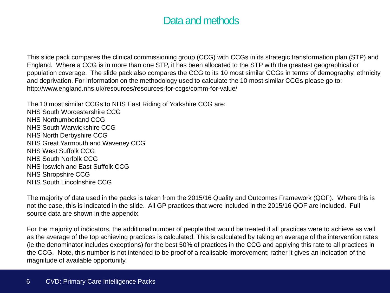## Data and methods

This slide pack compares the clinical commissioning group (CCG) with CCGs in its strategic transformation plan (STP) and England. Where a CCG is in more than one STP, it has been allocated to the STP with the greatest geographical or population coverage. The slide pack also compares the CCG to its 10 most similar CCGs in terms of demography, ethnicity and deprivation. For information on the methodology used to calculate the 10 most similar CCGs please go to: http://www.england.nhs.uk/resources/resources-for-ccgs/comm-for-value/

The 10 most similar CCGs to NHS East Riding of Yorkshire CCG are: NHS South Worcestershire CCG NHS Northumberland CCG NHS South Warwickshire CCG NHS North Derbyshire CCG NHS Great Yarmouth and Waveney CCG NHS West Suffolk CCG NHS South Norfolk CCG NHS Ipswich and East Suffolk CCG NHS Shropshire CCG NHS South Lincolnshire CCG

The majority of data used in the packs is taken from the 2015/16 Quality and Outcomes Framework (QOF). Where this is not the case, this is indicated in the slide. All GP practices that were included in the 2015/16 QOF are included. Full source data are shown in the appendix.

For the majority of indicators, the additional number of people that would be treated if all practices were to achieve as well as the average of the top achieving practices is calculated. This is calculated by taking an average of the intervention rates (ie the denominator includes exceptions) for the best 50% of practices in the CCG and applying this rate to all practices in the CCG. Note, this number is not intended to be proof of a realisable improvement; rather it gives an indication of the magnitude of available opportunity.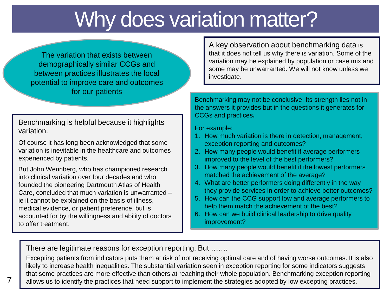# Why does variation matter?

The variation that exists between demographically similar CCGs and between practices illustrates the local potential to improve care and outcomes for our patients

Benchmarking is helpful because it highlights variation.

Of course it has long been acknowledged that some variation is inevitable in the healthcare and outcomes experienced by patients.

But John Wennberg, who has championed research into clinical variation over four decades and who founded the pioneering Dartmouth Atlas of Health Care, concluded that much variation is unwarranted – ie it cannot be explained on the basis of illness, medical evidence, or patient preference, but is accounted for by the willingness and ability of doctors to offer treatment.

A key observation about benchmarking data is that it does not tell us why there is variation. Some of the variation may be explained by population or case mix and some may be unwarranted. We will not know unless we investigate.

Benchmarking may not be conclusive. Its strength lies not in the answers it provides but in the questions it generates for CCGs and practices**.** 

For example:

- 1. How much variation is there in detection, management, exception reporting and outcomes?
- 2. How many people would benefit if average performers improved to the level of the best performers?
- 3. How many people would benefit if the lowest performers matched the achievement of the average?
- 4. What are better performers doing differently in the way they provide services in order to achieve better outcomes?
- 5. How can the CCG support low and average performers to help them match the achievement of the best?
- 6. How can we build clinical leadership to drive quality improvement?

There are legitimate reasons for exception reporting. But …….

Excepting patients from indicators puts them at risk of not receiving optimal care and of having worse outcomes. It is also likely to increase health inequalities. The substantial variation seen in exception reporting for some indicators suggests that some practices are more effective than others at reaching their whole population. Benchmarking exception reporting allows us to identify the practices that need support to implement the strategies adopted by low excepting practices.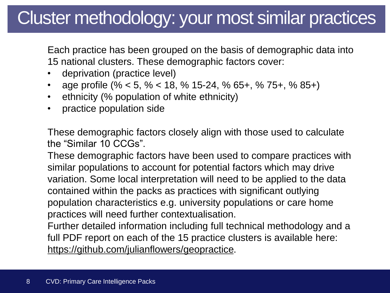# Cluster methodology: your most similar practices

Each practice has been grouped on the basis of demographic data into 15 national clusters. These demographic factors cover:

- deprivation (practice level)
- age profile (% < 5, % < 18, % 15-24, % 65+, % 75+, % 85+)
- ethnicity (% population of white ethnicity)
- practice population side

These demographic factors closely align with those used to calculate the "Similar 10 CCGs".

These demographic factors have been used to compare practices with similar populations to account for potential factors which may drive variation. Some local interpretation will need to be applied to the data contained within the packs as practices with significant outlying population characteristics e.g. university populations or care home practices will need further contextualisation.

Further detailed information including full technical methodology and a full PDF report on each of the 15 practice clusters is available here: <https://github.com/julianflowers/geopractice>.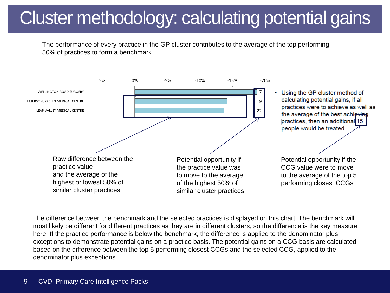# Cluster methodology: calculating potential gains

The performance of every practice in the GP cluster contributes to the average of the top performing 50% of practices to form a benchmark.



The difference between the benchmark and the selected practices is displayed on this chart. The benchmark will most likely be different for different practices as they are in different clusters, so the difference is the key measure here. If the practice performance is below the benchmark, the difference is applied to the denominator plus exceptions to demonstrate potential gains on a practice basis. The potential gains on a CCG basis are calculated based on the difference between the top 5 performing closest CCGs and the selected CCG, applied to the denominator plus exceptions.

<span id="page-8-0"></span> $W_{\rm{max}}$  was the surface of  $\sim$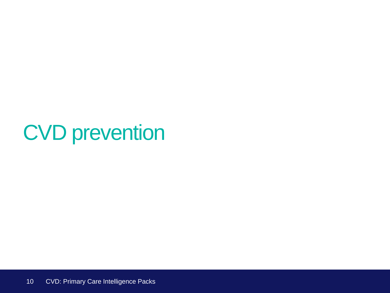# <span id="page-9-0"></span>CVD prevention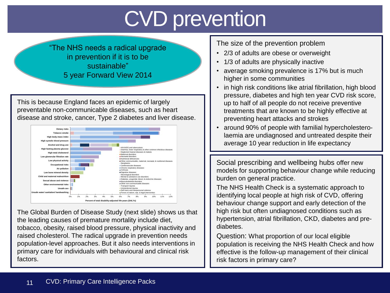# CVD prevention

"The NHS needs a radical upgrade in prevention if it is to be sustainable" 5 year Forward View 2014

This is because England faces an epidemic of largely preventable non-communicable diseases, such as heart disease and stroke, cancer, Type 2 diabetes and liver disease.



<span id="page-10-0"></span>The Global Burden of Disease Study (next slide) shows us that the leading causes of premature mortality include diet, tobacco, obesity, raised blood pressure, physical inactivity and raised cholesterol. The radical upgrade in prevention needs population-level approaches. But it also needs interventions in primary care for individuals with behavioural and clinical risk factors.

The size of the prevention problem

- 2/3 of adults are obese or overweight
- 1/3 of adults are physically inactive
- average smoking prevalence is 17% but is much higher in some communities
- in high risk conditions like atrial fibrillation, high blood pressure, diabetes and high ten year CVD risk score, up to half of all people do not receive preventive treatments that are known to be highly effective at preventing heart attacks and strokes
- around 90% of people with familial hypercholesterolaemia are undiagnosed and untreated despite their average 10 year reduction in life expectancy

Social prescribing and wellbeing hubs offer new models for supporting behaviour change while reducing burden on general practice.

The NHS Health Check is a systematic approach to identifying local people at high risk of CVD, offering behaviour change support and early detection of the high risk but often undiagnosed conditions such as hypertension, atrial fibrillation, CKD, diabetes and prediabetes.

Question: What proportion of our local eligible population is receiving the NHS Health Check and how effective is the follow-up management of their clinical risk factors in primary care?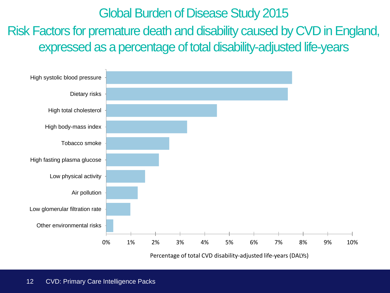# Global Burden of Disease Study 2015

Risk Factors for premature death and disability caused by CVD in England, expressed as a percentage of total disability-adjusted life-years

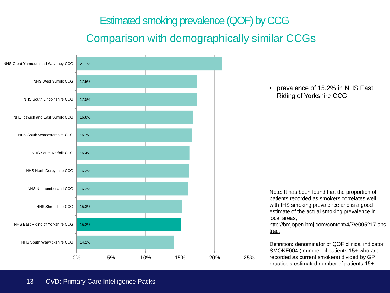## Estimated smoking prevalence (QOF) by CCG

## Comparison with demographically similar CCGs

<span id="page-12-0"></span>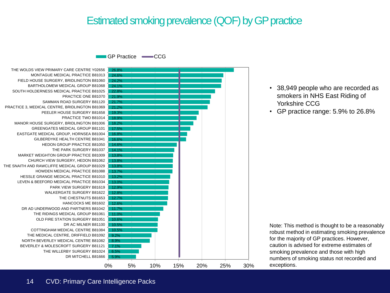## Estimated smoking prevalence (QOF) by GP practice

GP Practice **CCG** 

DR MITCHELL B81666 THE WILLERBY SURGERY B81024 BEVERLEY & MOLESCROFT SURGERY B81121 NORTH BEVERLEY MEDICAL CENTRE B81082 THE MEDICAL CENTRE, DRIFFIELD B81092 COTTINGHAM MEDICAL CENTRE B81084 DR AC MILNER B81100 OLD FIRE STATION SURGERY B81051 THE RIDINGS MEDICAL GROUP B81061 DR AD UNDERWOOD AND PARTNERS B81042 HANCOCKS ME B81602 THE CHESTNUTS B81653 WALKERGATE SURGERY B81622 PARK VIEW SURGERY B81619 LEVEN & BEEFORD MEDICAL PRACTICE B81034 HESSLE GRANGE MEDICAL PRACTICE B81010 HOWDEN MEDICAL PRACTICE B81088 THE SNAITH AND RAWCLIFFE MEDICAL GROUP B81029 CHURCH VIEW SURGERY, HEDON B81062 MARKET WEIGHTON GROUP PRACTICE B81009 THE PARK SURGERY B81037 HEDON GROUP PRACTICE B81050 GILBERDYKE HEALTH CENTRE B81041 EASTGATE MEDICAL GROUP, HORNSEA B81004 GREENGATES MEDICAL GROUP B81101 MANOR HOUSE SURGERY, BRIDLINGTON B81006 PRACTICE TWO B81014 PEELER HOUSE SURGERY B81658 PRACTICE 3, MEDICAL CENTRE, BRIDLINGTON B81069 SAMMAN ROAD SURGERY B81120 PRACTICE ONE B81070 SOUTH HOLDERNESS MEDICAL PRACTICE B81025 BARTHOLOMEW MEDICAL GROUP B81068 FIELD HOUSE SURGERY, BRIDLINGTON B81060 MONTAGUE MEDICAL PRACTICE B81013 THE WOLDS VIEW PRIMARY CARE CENTRE Y02656



- 38,949 people who are recorded as smokers in NHS East Riding of Yorkshire CCG
- GP practice range: 5.9% to 26.8%

Note: This method is thought to be a reasonably robust method in estimating smoking prevalence for the majority of GP practices. However, caution is advised for extreme estimates of smoking prevalence and those with high numbers of smoking status not recorded and exceptions.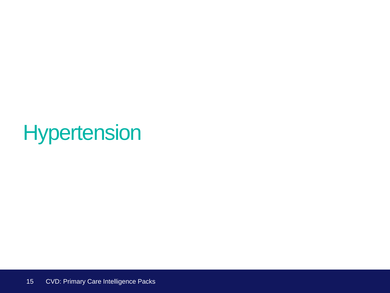# <span id="page-14-0"></span>**Hypertension**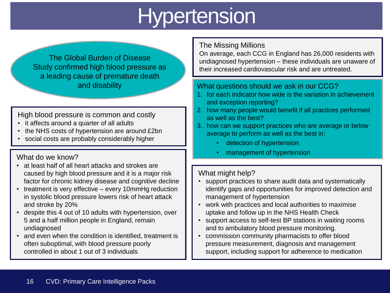# **Hypertension**

The Global Burden of Disease Study confirmed high blood pressure as a leading cause of premature death and disability

### High blood pressure is common and costly

- it affects around a quarter of all adults
- the NHS costs of hypertension are around £2bn
- social costs are probably considerably higher

- at least half of all heart attacks and strokes are caused by high blood pressure and it is a major risk factor for chronic kidney disease and cognitive decline
- treatment is very effective every 10mmHg reduction in systolic blood pressure lowers risk of heart attack and stroke by 20%
- despite this 4 out of 10 adults with hypertension, over 5 and a half million people in England, remain undiagnosed
- <span id="page-15-0"></span>• and even when the condition is identified, treatment is often suboptimal, with blood pressure poorly controlled in about 1 out of 3 individuals

### The Missing Millions

On average, each CCG in England has 26,000 residents with undiagnosed hypertension – these individuals are unaware of their increased cardiovascular risk and are untreated.

### What questions should we ask in our CCG?

- 1. for each indicator how wide is the variation in achievement and exception reporting?
- 2. how many people would benefit if all practices performed as well as the best?
- 3. how can we support practices who are average or below average to perform as well as the best in:
	- detection of hypertension
- management of hypertension What do we know?

### What might help?

- support practices to share audit data and systematically identify gaps and opportunities for improved detection and management of hypertension
- work with practices and local authorities to maximise uptake and follow up in the NHS Health Check
- support access to self-test BP stations in waiting rooms and to ambulatory blood pressure monitoring.
- commission community pharmacists to offer blood pressure measurement, diagnosis and management support, including support for adherence to medication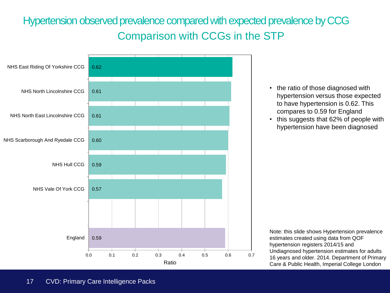# Hypertension observed prevalence compared with expected prevalence by CCG Comparison with CCGs in the STP

<span id="page-16-0"></span>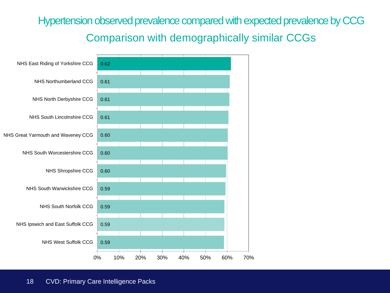# Hypertension observed prevalence compared with expected prevalence by CCG Comparison with demographically similar CCGs

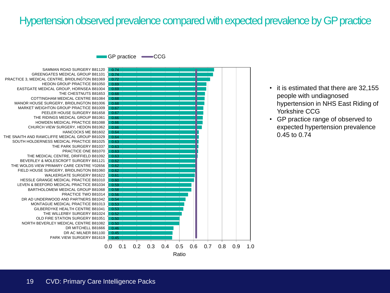### Hypertension observed prevalence compared with expected prevalence by GP practice

GP practice **CCG** 

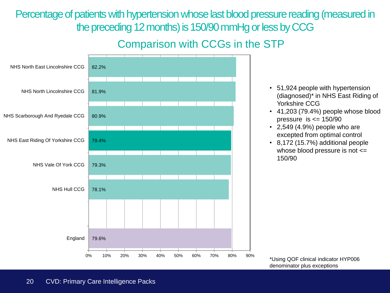Percentage of patients with hypertension whose last blood pressure reading (measured in the preceding 12 months) is 150/90 mmHg or less by CCG

## Comparison with CCGs in the STP



 20 CVD: Primary Care Intelligence Packs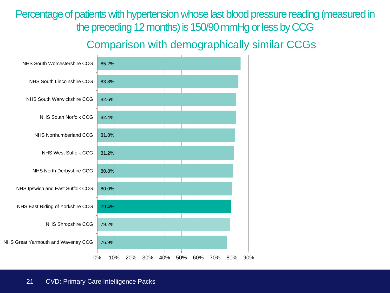Percentage of patients with hypertension whose last blood pressure reading (measured in the preceding 12 months) is 150/90 mmHg or less by CCG

## Comparison with demographically similar CCGs

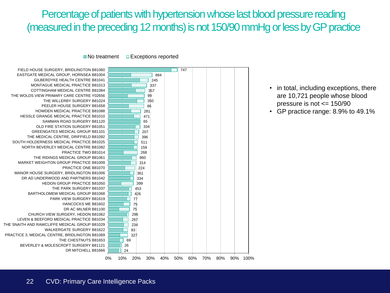## Percentage of patients with hypertension whose last blood pressure reading (measured in the preceding 12 months) is not 150/90 mmHg or less by GP practice

 $\blacksquare$  No treatment  $\blacksquare$  Exceptions reported



- in total, including exceptions, there are 10,721 people whose blood pressure is not <= 150/90
- GP practice range: 8.9% to 49.1%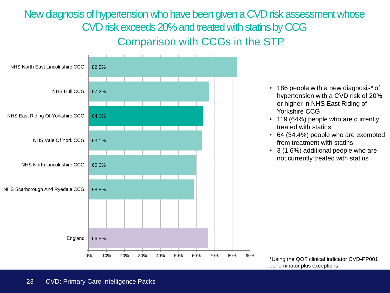New diagnosis of hypertension who have been given a CVD risk assessment whose CVD risk exceeds 20% and treated with statins by CCG Comparison with CCGs in the STP

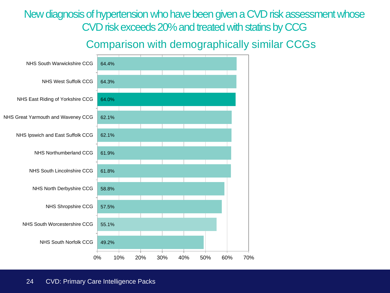New diagnosis of hypertension who have been given a CVD risk assessment whose CVD risk exceeds 20% and treated with statins by CCG

### Comparison with demographically similar CCGs

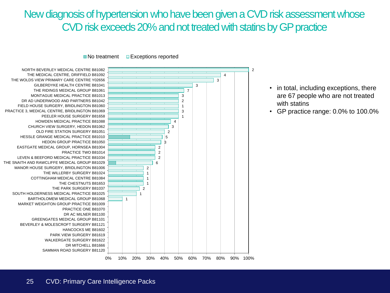## New diagnosis of hypertension who have been given a CVD risk assessment whose CVD risk exceeds 20% and not treated with statins by GP practice

 $\blacksquare$  No treatment  $\blacksquare$  Exceptions reported

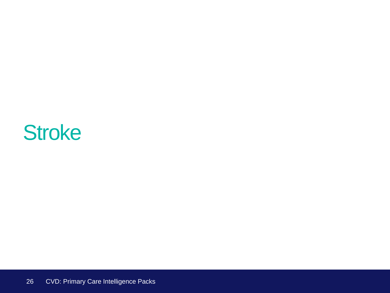# **Stroke**

<span id="page-25-0"></span>26 CVD: Primary Care Intelligence Packs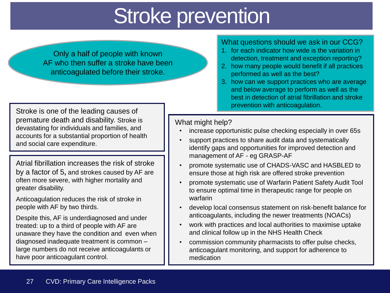# Stroke prevention

Only a half of people with known AF who then suffer a stroke have been anticoagulated before their stroke.

Stroke is one of the leading causes of premature death and disability. Stroke is devastating for individuals and families, and accounts for a substantial proportion of health and social care expenditure.

Atrial fibrillation increases the risk of stroke by a factor of 5**,** and strokes caused by AF are often more severe, with higher mortality and greater disability.

Anticoagulation reduces the risk of stroke in people with AF by two thirds.

<span id="page-26-0"></span>Despite this, AF is underdiagnosed and under treated: up to a third of people with AF are unaware they have the condition and even when diagnosed inadequate treatment is common – large numbers do not receive anticoagulants or have poor anticoagulant control.

#### What questions should we ask in our CCG?

- 1. for each indicator how wide is the variation in detection, treatment and exception reporting?
- 2. how many people would benefit if all practices performed as well as the best?
- 3. how can we support practices who are average and below average to perform as well as the best in detection of atrial fibrillation and stroke prevention with anticoagulation.

#### What might help?

- increase opportunistic pulse checking especially in over 65s
- support practices to share audit data and systematically identify gaps and opportunities for improved detection and management of AF - eg GRASP-AF
- promote systematic use of CHADS-VASC and HASBLED to ensure those at high risk are offered stroke prevention
- promote systematic use of Warfarin Patient Safety Audit Tool to ensure optimal time in therapeutic range for people on warfarin
- develop local consensus statement on risk-benefit balance for anticoagulants, including the newer treatments (NOACs)
- work with practices and local authorities to maximise uptake and clinical follow up in the NHS Health Check
- commission community pharmacists to offer pulse checks, anticoagulant monitoring, and support for adherence to medication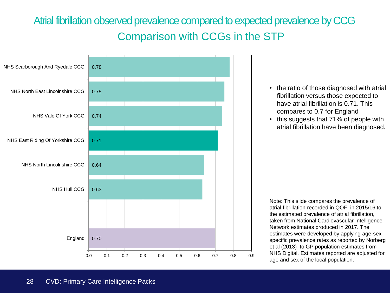# Atrial fibrillation observed prevalence compared to expected prevalence by CCG Comparison with CCGs in the STP

<span id="page-27-0"></span>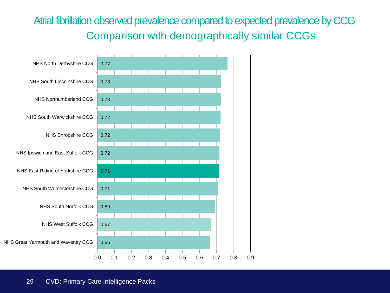# Atrial fibrillation observed prevalence compared to expected prevalence by CCG Comparison with demographically similar CCGs

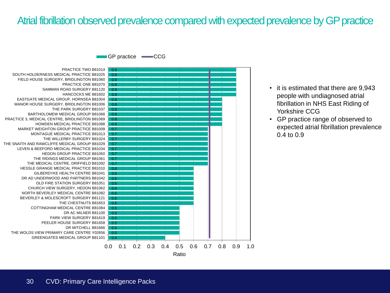### Atrial fibrillation observed prevalence compared with expected prevalence by GP practice

GP practice **-CCG** 



- it is estimated that there are 9,943 people with undiagnosed atrial fibrillation in NHS East Riding of Yorkshire CCG
- GP practice range of observed to expected atrial fibrillation prevalence 0.4 to 0.9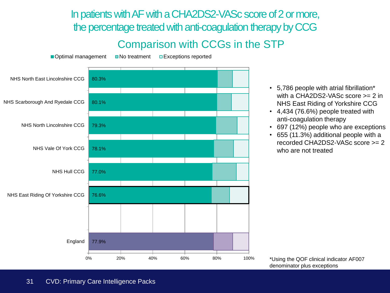In patients with AF with a CHA2DS2-VASc score of 2 or more, the percentage treated with anti-coagulation therapy by CCG

## Comparison with CCGs in the STP



- 5,786 people with atrial fibrillation\* with a CHA2DS2-VASc score >= 2 in NHS East Riding of Yorkshire CCG
- 4,434 (76.6%) people treated with anti-coagulation therapy
- 697 (12%) people who are exceptions
- 655 (11.3%) additional people with a recorded CHA2DS2-VASc score >= 2 who are not treated

\*Using the QOF clinical indicator AF007 denominator plus exceptions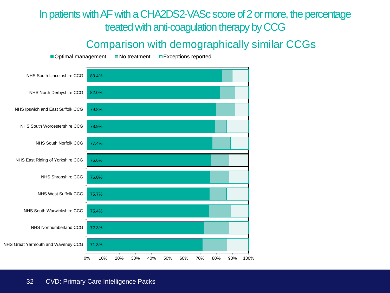## In patients with AF with a CHA2DS2-VASc score of 2 or more, the percentage treated with anti-coagulation therapy by CCG

### Comparison with demographically similar CCGs

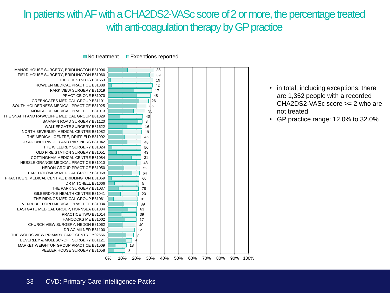## In patients with AF with a CHA2DS2-VASc score of 2 or more, the percentage treated with anti-coagulation therapy by GP practice





- in total, including exceptions, there are 1,352 people with a recorded CHA2DS2-VASc score >= 2 who are not treated
- GP practice range: 12.0% to 32.0%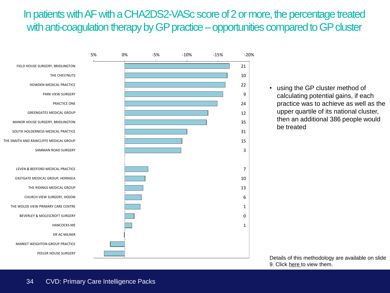## In patients with AF with a CHA2DS2-VASc score of 2 or more, the percentage treated with anti-coagulation therapy by GP practice – opportunities compared to GP cluster



• using the GP cluster method of calculating potential gains, if each practice was to achieve as well as the upper quartile of its national cluster, then an additional 386 people would be treated

Details of this methodology are available on slide 9. Click [here t](#page-8-0)o view them.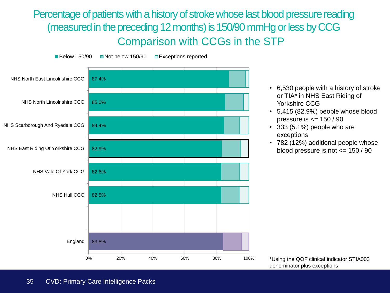Percentage of patients with a history of stroke whose last blood pressure reading (measured in the preceding 12 months) is 150/90 mmHg or less by CCG Comparison with CCGs in the STP



- 6,530 people with a history of stroke or TIA\* in NHS East Riding of Yorkshire CCG
- 5,415 (82.9%) people whose blood pressure is <= 150 / 90
- 333 (5.1%) people who are exceptions
- 782 (12%) additional people whose blood pressure is not <= 150 / 90

\*Using the QOF clinical indicator STIA003 denominator plus exceptions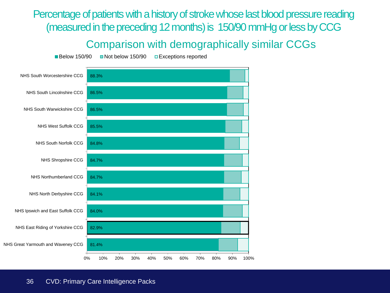Percentage of patients with a history of stroke whose last blood pressure reading (measured in the preceding 12 months) is 150/90 mmHg or less by CCG

### Comparison with demographically similar CCGs

Below 150/90 Not below 150/90 DExceptions reported

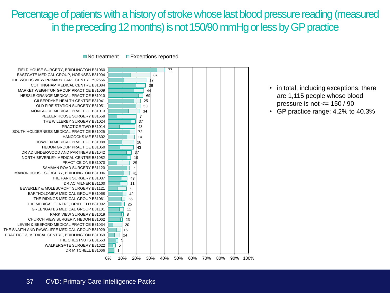### Percentage of patients with a history of stroke whose last blood pressure reading (measured in the preceding 12 months) is not 150/90 mmHg or less by GP practice

 $\blacksquare$  No treatment  $\blacksquare$  Exceptions reported



- in total, including exceptions, there are 1,115 people whose blood pressure is not <= 150 / 90
- GP practice range: 4.2% to 40.3%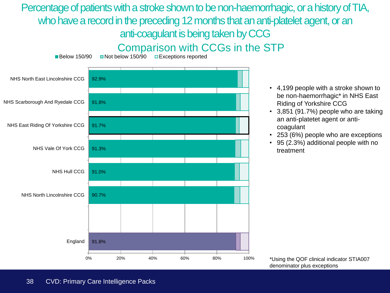### Percentage of patients with a stroke shown to be non-haemorrhagic, or a history of TIA, who have a record in the preceding 12 months that an anti-platelet agent, or an anti-coagulant is being taken by CCG Comparison with CCGs in the STP



■Below 150/90 ■ Not below 150/90 ■ Exceptions reported

- - 4,199 people with a stroke shown to be non-haemorrhagic\* in NHS East Riding of Yorkshire CCG
	- 3,851 (91.7%) people who are taking an anti-platetet agent or anticoagulant
	- 253 (6%) people who are exceptions
	- 95 (2.3%) additional people with no treatment

<sup>\*</sup>Using the QOF clinical indicator STIA007 denominator plus exceptions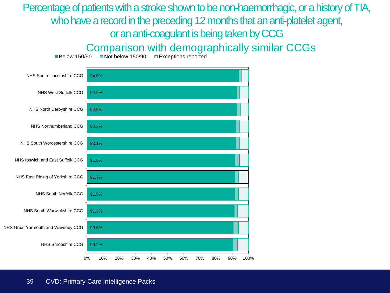## Percentage of patients with a stroke shown to be non-haemorrhagic, or a history of TIA, who have a record in the preceding 12 months that an anti-platelet agent, or an anti-coagulant is being taken by CCG

Comparison with demographically similar CCGs

90.2% 90.6% 91.3% 91.5% 91.7% 91.8% 92.1% 92.3% 92.8% 92.9% 94.0% 0% 10% 20% 30% 40% 50% 60% 70% 80% 90% 100% NHS Shropshire CCG NHS Great Yarmouth and Waveney CCG NHS South Warwickshire CCG NHS South Norfolk CCG NHS East Riding of Yorkshire CCG NHS Ipswich and East Suffolk CCG NHS South Worcestershire CCG NHS Northumberland CCG NHS North Derbyshire CCG NHS West Suffolk CCG NHS South Lincolnshire CCG

Below 150/90 Not below 150/90 DExceptions reported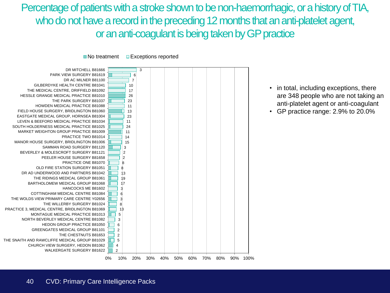Percentage of patients with a stroke shown to be non-haemorrhagic, or a history of TIA, who do not have a record in the preceding 12 months that an anti-platelet agent, or an anti-coagulant is being takenby GP practice



- in total, including exceptions, there are 348 people who are not taking an anti-platelet agent or anti-coagulant
- GP practice range: 2.9% to 20.0%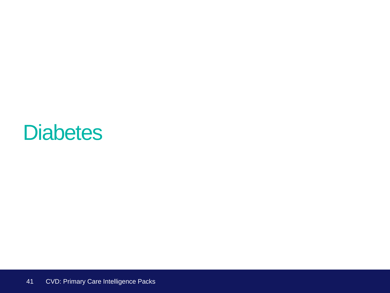## **Diabetes**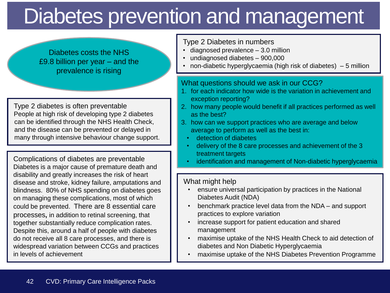# Diabetes prevention and management

Diabetes costs the NHS £9.8 billion per year – and the prevalence is rising

Type 2 diabetes is often preventable People at high risk of developing type 2 diabetes can be identified through the NHS Health Check, and the disease can be prevented or delayed in many through intensive behaviour change support.

Complications of diabetes are preventable Diabetes is a major cause of premature death and disability and greatly increases the risk of heart disease and stroke, kidney failure, amputations and blindness. 80% of NHS spending on diabetes goes on managing these complications, most of which could be prevented. There are 8 essential care processes**,** in addition to retinal screening, that together substantially reduce complication rates. Despite this, around a half of people with diabetes do not receive all 8 care processes, and there is widespread variation between CCGs and practices in levels of achievement

#### Type 2 Diabetes in numbers

- diagnosed prevalence 3.0 million
- undiagnosed diabetes 900,000
- non-diabetic hyperglycaemia (high risk of diabetes) 5 million

#### What questions should we ask in our CCG?

- 1. for each indicator how wide is the variation in achievement and exception reporting?
- 2. how many people would benefit if all practices performed as well as the best?
- 3. how can we support practices who are average and below average to perform as well as the best in:
	- detection of diabetes
	- delivery of the 8 care processes and achievement of the 3 treatment targets
	- identification and management of Non-diabetic hyperglycaemia

#### What might help

- ensure universal participation by practices in the National Diabetes Audit (NDA)
- benchmark practice level data from the NDA and support practices to explore variation
- increase support for patient education and shared management
- maximise uptake of the NHS Health Check to aid detection of diabetes and Non Diabetic Hyperglycaemia
- maximise uptake of the NHS Diabetes Prevention Programme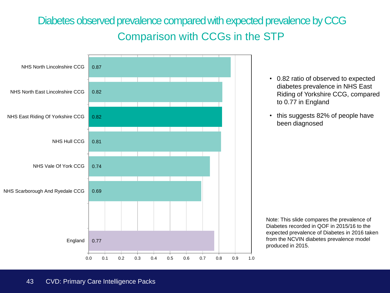## Diabetes observed prevalence compared with expected prevalence by CCG Comparison with CCGs in the STP

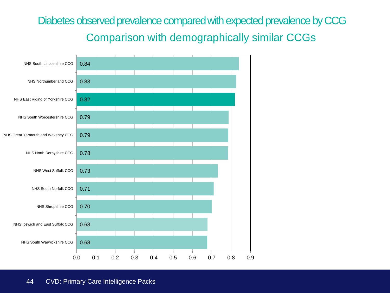## Diabetes observed prevalence compared with expected prevalence by CCG Comparison with demographically similar CCGs

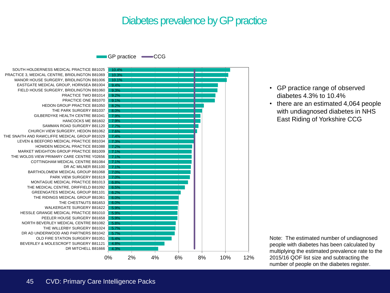#### Diabetes prevalence by GP practice

GP practice **CCG** 

DR MITCHELL B81666 BEVERLEY & MOLESCROFT SURGERY B81121 OLD FIRE STATION SURGERY B81051 DR AD UNDERWOOD AND PARTNERS B81042 THE WILLERBY SURGERY B81024 NORTH BEVERLEY MEDICAL CENTRE B81082 PEELER HOUSE SURGERY B81658 HESSLE GRANGE MEDICAL PRACTICE B81010 WALKERGATE SURGERY B81622 THE CHESTNUTS B81653 THE RIDINGS MEDICAL GROUP B81061 GREENGATES MEDICAL GROUP B81101 THE MEDICAL CENTRE, DRIFFIELD B81092 MONTAGUE MEDICAL PRACTICE B81013 PARK VIEW SURGERY B81619 BARTHOLOMEW MEDICAL GROUP B81068 DR AC MILNER B81100 COTTINGHAM MEDICAL CENTRE B81084 THE WOLDS VIEW PRIMARY CARE CENTRE Y02656 MARKET WEIGHTON GROUP PRACTICE B81009 HOWDEN MEDICAL PRACTICE B81088 LEVEN & BEEFORD MEDICAL PRACTICE B81034 THE SNAITH AND RAWCLIFFE MEDICAL GROUP B81029 CHURCH VIEW SURGERY, HEDON B81062 SAMMAN ROAD SURGERY B81120 HANCOCKS ME B81602 GILBERDYKE HEALTH CENTRE B81041 THE PARK SURGERY B81037 HEDON GROUP PRACTICE B81050 PRACTICE ONE B81070 PRACTICE TWO B81014 FIELD HOUSE SURGERY, BRIDLINGTON B81060 EASTGATE MEDICAL GROUP, HORNSEA B81004 MANOR HOUSE SURGERY, BRIDLINGTON B81006 PRACTICE 3, MEDICAL CENTRE, BRIDLINGTON B81069 SOUTH HOLDERNESS MEDICAL PRACTICE B81025



- GP practice range of observed diabetes 4.3% to 10.4%
- there are an estimated 4,064 people with undiagnosed diabetes in NHS East Riding of Yorkshire CCG

Note: The estimated number of undiagnosed people with diabetes has been calculated by multiplying the estimated prevalence rate to the 2015/16 QOF list size and subtracting the number of people on the diabetes register.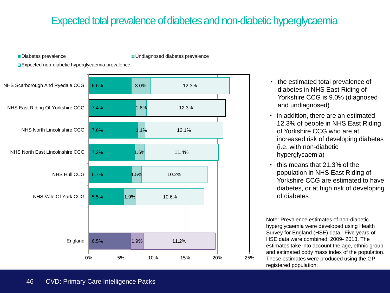### Expected total prevalence of diabetes and non-diabetic hyperglycaemia

■Diabetes prevalence Undiagnosed diabetes prevalence

Expected non-diabetic hyperglycaemia prevalence



- the estimated total prevalence of diabetes in NHS East Riding of Yorkshire CCG is 9.0% (diagnosed and undiagnosed)
- in addition, there are an estimated 12.3% of people in NHS East Riding of Yorkshire CCG who are at increased risk of developing diabetes (i.e. with non-diabetic hyperglycaemia)
- this means that 21.3% of the population in NHS East Riding of Yorkshire CCG are estimated to have diabetes, or at high risk of developing of diabetes

Note: Prevalence estimates of non-diabetic hyperglycaemia were developed using Health Survey for England (HSE) data. Five years of HSE data were combined, 2009- 2013. The estimates take into account the age, ethnic group and estimated body mass index of the population. These estimates were produced using the GP registered population.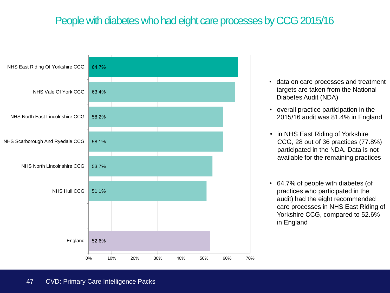### People with diabetes who had eight care processes by CCG 2015/16



- data on care processes and treatment targets are taken from the National Diabetes Audit (NDA)
- overall practice participation in the 2015/16 audit was 81.4% in England
- in NHS East Riding of Yorkshire CCG, 28 out of 36 practices (77.8%) participated in the NDA. Data is not available for the remaining practices
- 64.7% of people with diabetes (of practices who participated in the audit) had the eight recommended care processes in NHS East Riding of Yorkshire CCG, compared to 52.6% in England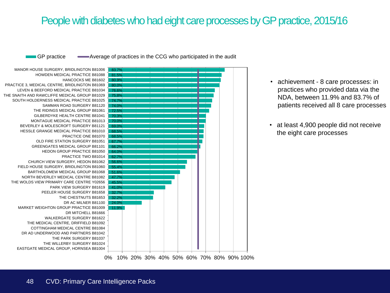#### People with diabetes who had eight care processes by GP practice, 2015/16

GP practice  $\longrightarrow$  Average of practices in the CCG who participated in the audit

11.9% 24.0% 32.2% 32.7% 41.0% 45.5% 47.7% 51.6% 55.4% 56.6% 62.7% 64.0% 66.2% 67.7% 68.5% 68.5% 69.0% 70.0% 70.3% 72.5% 74.0% 74.7% 75.8% 76.6% 80.0% 80.9% 81.5% 83.7% EASTGATE MEDICAL GROUP, HORNSEA B81004 THE WILLERBY SURGERY B81024 THE PARK SURGERY B81037 DR AD UNDERWOOD AND PARTNERS B81042 COTTINGHAM MEDICAL CENTRE B81084 THE MEDICAL CENTRE, DRIFFIELD B81092 WALKERGATE SURGERY B81622 DR MITCHELL B81666 MARKET WEIGHTON GROUP PRACTICE B81009 DR AC MILNER B81100 THE CHESTNUTS B81653 PEELER HOUSE SURGERY B81658 PARK VIEW SURGERY B81619 THE WOLDS VIEW PRIMARY CARE CENTRE Y02656 NORTH BEVERLEY MEDICAL CENTRE B81082 BARTHOLOMEW MEDICAL GROUP B81068 FIELD HOUSE SURGERY, BRIDLINGTON B81060 CHURCH VIEW SURGERY, HEDON B81062 PRACTICE TWO B81014 HEDON GROUP PRACTICE B81050 GREENGATES MEDICAL GROUP B81101 OLD FIRE STATION SURGERY B81051 PRACTICE ONE B81070 HESSLE GRANGE MEDICAL PRACTICE B81010 BEVERLEY & MOLESCROFT SURGERY B81121 MONTAGUE MEDICAL PRACTICE B81013 GILBERDYKE HEALTH CENTRE B81041 THE RIDINGS MEDICAL GROUP B81061 SAMMAN ROAD SURGERY B81120 SOUTH HOLDERNESS MEDICAL PRACTICE B81025 THE SNAITH AND RAWCLIFFE MEDICAL GROUP B81029 LEVEN & BEEFORD MEDICAL PRACTICE B81034 PRACTICE 3, MEDICAL CENTRE, BRIDLINGTON B81069 HANCOCKS ME B81602 HOWDEN MEDICAL PRACTICE B81088 MANOR HOUSE SURGERY, BRIDLINGTON B81006



- achievement 8 care processes: in practices who provided data via the NDA, between 11.9% and 83.7% of patients received all 8 care processes
- at least 4,900 people did not receive the eight care processes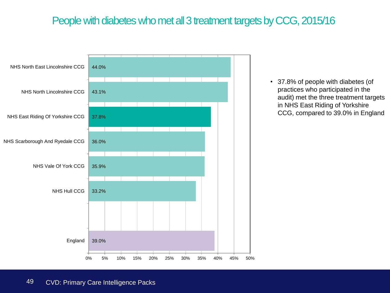#### People with diabetes who met all 3 treatment targets by CCG, 2015/16



• 37.8% of people with diabetes (of practices who participated in the audit) met the three treatment targets in NHS East Riding of Yorkshire CCG, compared to 39.0% in England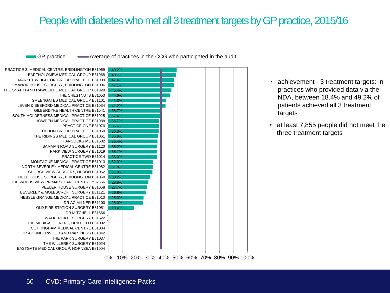#### People with diabetes who met all 3 treatment targets by GP practice, 2015/16

GP practice  $\longrightarrow$  Average of practices in the CCG who participated in the audit



- achievement 3 treatment targets: in practices who provided data via the NDA, between 18.4% and 49.2% of patients achieved all 3 treatment targets
- at least 7,855 people did not meet the three treatment targets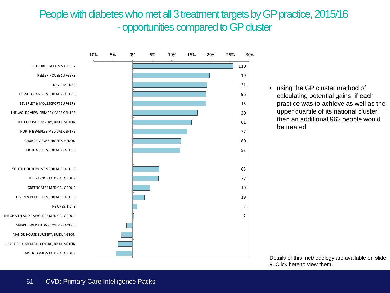#### People with diabetes who met all 3 treatment targets by GP practice, 2015/16 -opportunities compared to GP cluster



• using the GP cluster method of calculating potential gains, if each practice was to achieve as well as the upper quartile of its national cluster, then an additional 962 people would be treated

Details of this methodology are available on slide 9. Click [here t](#page-8-0)o view them.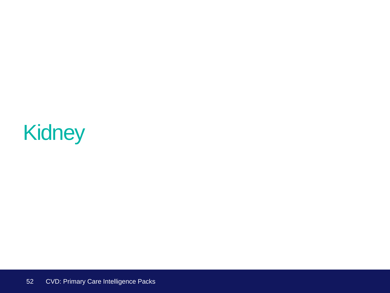# Kidney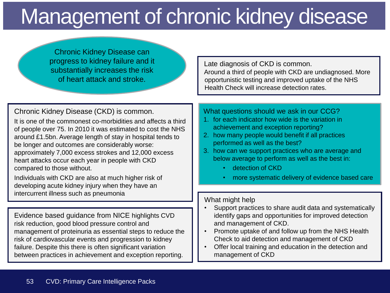# Management of chronic kidney disease

Chronic Kidney Disease can progress to kidney failure and it substantially increases the risk of heart attack and stroke.

Late diagnosis of CKD is common. Around a third of people with CKD are undiagnosed. More opportunistic testing and improved uptake of the NHS Health Check will increase detection rates.

Chronic Kidney Disease (CKD) is common.

It is one of the commonest co-morbidities and affects a third of people over 75. In 2010 it was estimated to cost the NHS around £1.5bn. Average length of stay in hospital tends to be longer and outcomes are considerably worse: approximately 7,000 excess strokes and 12,000 excess heart attacks occur each year in people with CKD compared to those without.

Individuals with CKD are also at much higher risk of developing acute kidney injury when they have an intercurrent illness such as pneumonia

Evidence based guidance from NICE highlights CVD risk reduction, good blood pressure control and management of proteinuria as essential steps to reduce the risk of cardiovascular events and progression to kidney failure. Despite this there is often significant variation between practices in achievement and exception reporting.

What questions should we ask in our CCG?

- 1. for each indicator how wide is the variation in achievement and exception reporting?
- 2. how many people would benefit if all practices performed as well as the best?
- 3. how can we support practices who are average and below average to perform as well as the best in:
	- detection of CKD
	- more systematic delivery of evidence based care

#### What might help

- Support practices to share audit data and systematically identify gaps and opportunities for improved detection and management of CKD.
- Promote uptake of and follow up from the NHS Health Check to aid detection and management of CKD
- Offer local training and education in the detection and management of CKD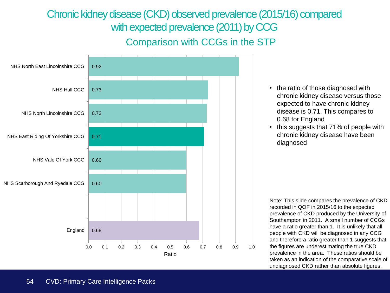## Chronic kidney disease (CKD) observed prevalence (2015/16) compared with expected prevalence (2011) by CCG



- the ratio of those diagnosed with chronic kidney disease versus those expected to have chronic kidney disease is 0.71. This compares to 0.68 for England
- this suggests that 71% of people with chronic kidney disease have been diagnosed

Note: This slide compares the prevalence of CKD recorded in QOF in 2015/16 to the expected prevalence of CKD produced by the University of Southampton in 2011. A small number of CCGs have a ratio greater than 1. It is unlikely that all people with CKD will be diagnosed in any CCG and therefore a ratio greater than 1 suggests that the figures are underestimating the true CKD prevalence in the area. These ratios should be taken as an indication of the comparative scale of undiagnosed CKD rather than absolute figures.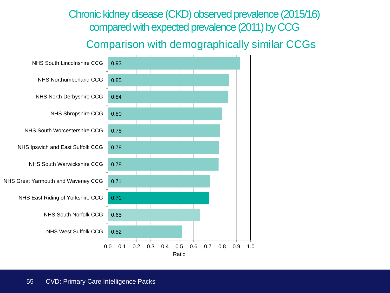#### Chronic kidney disease (CKD) observed prevalence (2015/16) compared with expected prevalence (2011) by CCG

#### Comparison with demographically similar CCGs

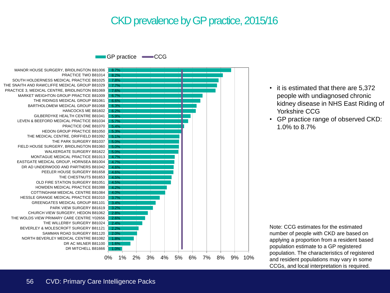#### CKD prevalence by GP practice, 2015/16

GP practice **-CCG** 

DR MITCHELL B81666 DR AC MILNER B81100 NORTH BEVERLEY MEDICAL CENTRE B81082 SAMMAN ROAD SURGERY B81120 BEVERLEY & MOLESCROFT SURGERY B81121 THE WILLERBY SURGERY B81024 THE WOLDS VIEW PRIMARY CARE CENTRE Y02656 CHURCH VIEW SURGERY, HEDON B81062 PARK VIEW SURGERY B81619 GREENGATES MEDICAL GROUP B81101 HESSLE GRANGE MEDICAL PRACTICE B81010 COTTINGHAM MEDICAL CENTRE B81084 HOWDEN MEDICAL PRACTICE B81088 OLD FIRE STATION SURGERY B81051 THE CHESTNUTS B81653 PEELER HOUSE SURGERY B81658 DR AD UNDERWOOD AND PARTNERS B81042 EASTGATE MEDICAL GROUP, HORNSEA B81004 MONTAGUE MEDICAL PRACTICE B81013 WALKERGATE SURGERY B81622 FIELD HOUSE SURGERY, BRIDLINGTON B81060 THE PARK SURGERY B81037 THE MEDICAL CENTRE, DRIFFIELD B81092 HEDON GROUP PRACTICE B81050 PRACTICE ONE B81070 LEVEN & BEEFORD MEDICAL PRACTICE B81034 GILBERDYKE HEALTH CENTRE B81041 HANCOCKS ME B81602 BARTHOLOMEW MEDICAL GROUP B81068 THE RIDINGS MEDICAL GROUP B81061 MARKET WEIGHTON GROUP PRACTICE B81009 PRACTICE 3, MEDICAL CENTRE, BRIDLINGTON B81069 THE SNAITH AND RAWCLIFFE MEDICAL GROUP B81029 SOUTH HOLDERNESS MEDICAL PRACTICE B81025 PRACTICE TWO B81014 MANOR HOUSE SURGERY, BRIDLINGTON B81006



- it is estimated that there are 5,372 people with undiagnosed chronic kidney disease in NHS East Riding of Yorkshire CCG
- GP practice range of observed CKD: 1.0% to 8.7%

Note: CCG estimates for the estimated number of people with CKD are based on applying a proportion from a resident based population estimate to a GP registered population. The characteristics of registered and resident populations may vary in some CCGs, and local interpretation is required.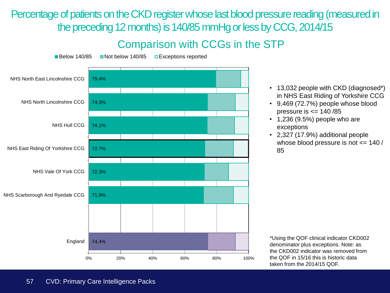Percentage of patients on the CKD register whose last blood pressure reading (measured in the preceding 12 months) is 140/85 mmHg or less by CCG, 2014/15

### Comparison with CCGs in the STP



- 13,032 people with CKD (diagnosed\*) in NHS East Riding of Yorkshire CCG
- 9,469 (72.7%) people whose blood pressure is  $\leq$  140 /85
- $\cdot$  1,236 (9.5%) people who are exceptions
- 2,327 (17.9%) additional people whose blood pressure is not <= 140 / 85

\*Using the QOF clinical indicator CKD002 denominator plus exceptions. Note: as the CKD002 indicator was removed from the QOF in 15/16 this is historic data taken from the 2014/15 QOF.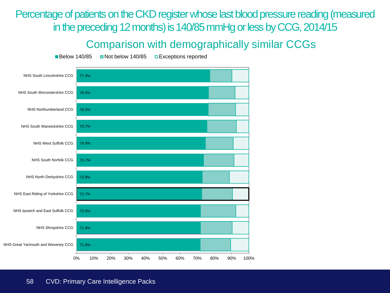Percentage of patients on the CKD register whose last blood pressure reading (measured in the preceding 12 months) is 140/85 mmHg or less by CCG, 2014/15

#### Comparison with demographically similar CCGs

Below 140/85 Not below 140/85 DExceptions reported

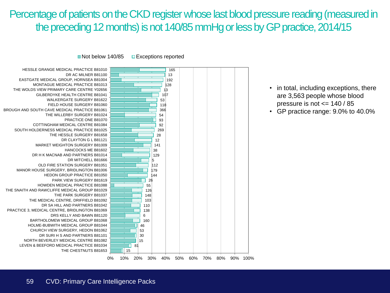### Percentage of patients on the CKD register whose last blood pressure reading (measured in the preceding 12 months) is not 140/85 mmHg or less by GP practice, 2014/15

■ Not below 140/85 ■ Exceptions reported



- in total, including exceptions, there are 3,563 people whose blood pressure is not <= 140 / 85
- GP practice range: 9.0% to 40.0%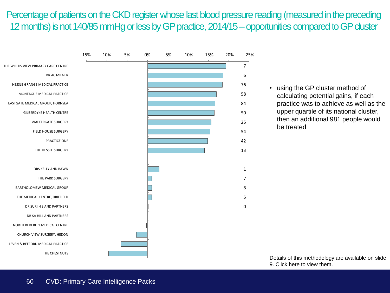#### Percentage of patients on the CKD register whose last blood pressure reading (measured in the preceding 12 months) is not 140/85 mmHg or less by GP practice, 2014/15 –opportunities compared to GP cluster



• using the GP cluster method of calculating potential gains, if each practice was to achieve as well as the upper quartile of its national cluster, then an additional 981 people would be treated

Details of this methodology are available on slide 9. Click [here t](#page-8-0)o view them.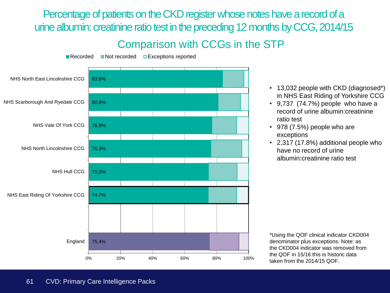Percentage of patients on the CKD register whose notes have a record of a urine albumin: creatinine ratio test in the preceding 12 months by CCG, 2014/15

#### Comparison with CCGs in the STP



- 13,032 people with CKD (diagnosed\*) in NHS East Riding of Yorkshire CCG
- 9,737 (74.7%) people who have a record of urine albumin:creatinine ratio test
- 978 (7.5%) people who are exceptions
- 2,317 (17.8%) additional people who have no record of urine albumin:creatinine ratio test

\*Using the QOF clinical indicator CKD004 denominator plus exceptions. Note: as the CKD004 indicator was removed from the QOF in 15/16 this is historic data taken from the 2014/15 QOF.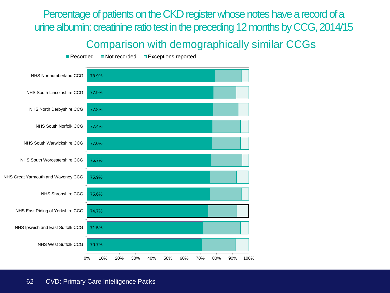Percentage of patients on the CKD register whose notes have a record of a urine albumin: creatinine ratio test in the preceding 12 months by CCG, 2014/15

#### Comparison with demographically similar CCGs

70.7% 71.5% 74.7% 75.6% 75.9% 76.7% 77.0% 77.4% 77.8% 77.9% 78.9% 0% 10% 20% 30% 40% 50% 60% 70% 80% 90% 100% NHS West Suffolk CCG NHS Ipswich and East Suffolk CCG NHS East Riding of Yorkshire CCG NHS Shropshire CCG NHS Great Yarmouth and Waveney CCG NHS South Worcestershire CCG NHS South Warwickshire CCG NHS South Norfolk CCG NHS North Derbyshire CCG NHS South Lincolnshire CCG NHS Northumberland CCG

Recorded **ID** Not recorded **Exceptions reported**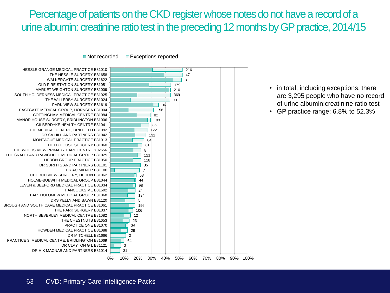### Percentage of patients on the CKD register whose notes do not have a record of a urine albumin: creatinine ratio test in the preceding 12 months by GP practice, 2014/15

 $\blacksquare$  Not recorded  $\blacksquare$  Exceptions reported



- in total, including exceptions, there are 3,295 people who have no record of urine albumin:creatinine ratio test
- GP practice range: 6.8% to 52.3%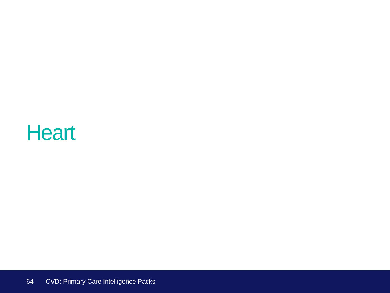# **Heart**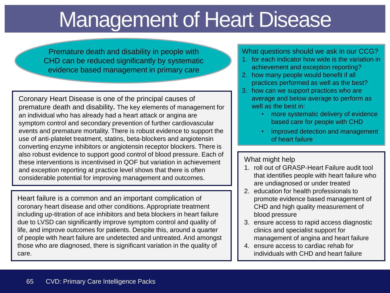# Management of Heart Disease

Premature death and disability in people with CHD can be reduced significantly by systematic evidence based management in primary care

Coronary Heart Disease is one of the principal causes of premature death and disability**.** The key elements of management for an individual who has already had a heart attack or angina are symptom control and secondary prevention of further cardiovascular events and premature mortality. There is robust evidence to support the use of anti-platelet treatment, statins, beta-blockers and angiotensin converting enzyme inhibitors or angiotensin receptor blockers. There is also robust evidence to support good control of blood pressure. Each of these interventions is incentivised in QOF but variation in achievement and exception reporting at practice level shows that there is often considerable potential for improving management and outcomes.

Heart failure is a common and an important complication of coronary heart disease and other conditions. Appropriate treatment including up-titration of ace inhibitors and beta blockers in heart failure due to LVSD can significantly improve symptom control and quality of life, and improve outcomes for patients. Despite this, around a quarter of people with heart failure are undetected and untreated. And amongst those who are diagnosed, there is significant variation in the quality of care.

#### What questions should we ask in our CCG?

- 1. for each indicator how wide is the variation in achievement and exception reporting?
- 2. how many people would benefit if all practices performed as well as the best?
- 3. how can we support practices who are average and below average to perform as well as the best in:
	- more systematic delivery of evidence based care for people with CHD
	- improved detection and management of heart failure

#### What might help

- 1. roll out of GRASP-Heart Failure audit tool that identifies people with heart failure who are undiagnosed or under treated
- 2. education for health professionals to promote evidence based management of CHD and high quality measurement of blood pressure
- 3. ensure access to rapid access diagnostic clinics and specialist support for management of angina and heart failure
- 4. ensure access to cardiac rehab for individuals with CHD and heart failure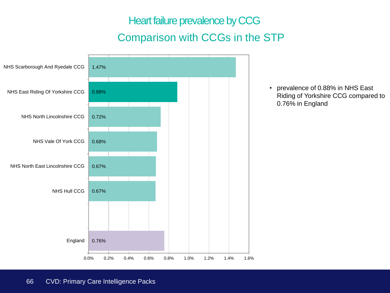Heart failure prevalence by CCG Comparison with CCGs in the STP

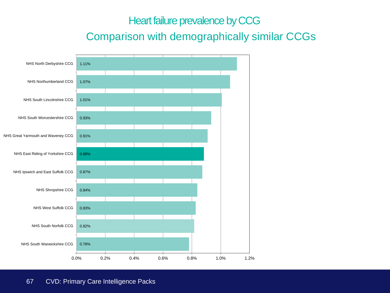#### Heart failure prevalence by CCG

#### Comparison with demographically similar CCGs

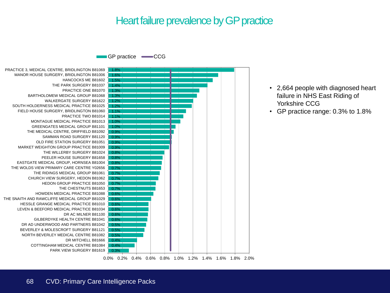#### Heart failure prevalence by GP practice

GP practice **CCG** 

0.3% 0.4% 0.5% 0.5% 0.5% 0.6% 0.6% 0.6% 0.6% 0.6% 0.6% 0.7% 0.7% 0.7% 0.8% 0.8% 0.8% 0.9% 1.0% 1.0% 1.1% 1.2% 1.2% 1.3% 1.3% 1.4% 1.5% 1.6% 1.8% PARK VIEW SURGERY B81619 COTTINGHAM MEDICAL CENTRE B81084 DR MITCHELL B81666 NORTH BEVERLEY MEDICAL CENTRE B81082 BEVERLEY & MOLESCROFT SURGERY B81121 DR AD UNDERWOOD AND PARTNERS B81042 GILBERDYKE HEALTH CENTRE B81041 DR AC MILNER B81100 LEVEN & BEEFORD MEDICAL PRACTICE B81034 HESSLE GRANGE MEDICAL PRACTICE B81010 THE SNAITH AND RAWCLIFFE MEDICAL GROUP B81029 HOWDEN MEDICAL PRACTICE B81088 THE CHESTNUTS B81653 HEDON GROUP PRACTICE B81050 CHURCH VIEW SURGERY, HEDON B81062 THE RIDINGS MEDICAL GROUP B81061 THE WOLDS VIEW PRIMARY CARE CENTRE Y02656 EASTGATE MEDICAL GROUP, HORNSEA B81004 PEELER HOUSE SURGERY B81658 THE WILLERBY SURGERY B81024 MARKET WEIGHTON GROUP PRACTICE B81009 OLD FIRE STATION SURGERY B81051 SAMMAN ROAD SURGERY B81120 THE MEDICAL CENTRE, DRIFFIELD B81092 GREENGATES MEDICAL GROUP B81101 MONTAGUE MEDICAL PRACTICE B81013 PRACTICE TWO B81014 FIELD HOUSE SURGERY, BRIDLINGTON B81060 SOUTH HOLDERNESS MEDICAL PRACTICE B81025 WALKERGATE SURGERY B81622 BARTHOLOMEW MEDICAL GROUP B81068 PRACTICE ONE B81070 THE PARK SURGERY B81037 HANCOCKS ME B81602 MANOR HOUSE SURGERY, BRIDLINGTON B81006 PRACTICE 3, MEDICAL CENTRE, BRIDLINGTON B81069



- 2,664 people with diagnosed heart failure in NHS East Riding of Yorkshire CCG
- GP practice range: 0.3% to 1.8%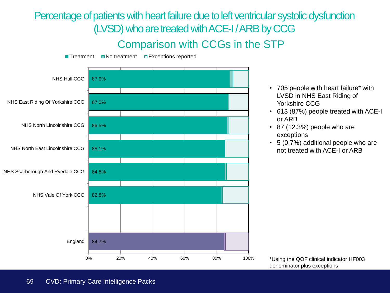Percentage of patients with heart failure due to left ventricular systolic dysfunction (LVSD) who are treated with ACE-I / ARB by CCG

#### Comparison with CCGs in the STP



- 705 people with heart failure\* with LVSD in NHS East Riding of Yorkshire CCG
- 613 (87%) people treated with ACE-I or ARB
- 87 (12.3%) people who are exceptions
- 5 (0.7%) additional people who are not treated with ACE-I or ARB

\*Using the QOF clinical indicator HF003 denominator plus exceptions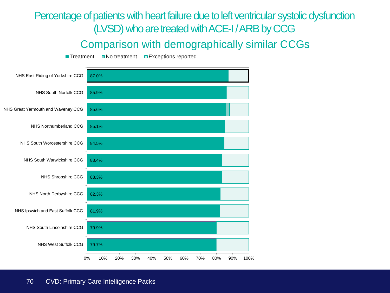## Percentage of patients with heart failure due to left ventricular systolic dysfunction (LVSD) who are treated with ACE-I/ ARB by CCG

#### Comparison with demographically similar CCGs

 $\blacksquare$  Treatment  $\blacksquare$  No treatment  $\blacksquare$  Exceptions reported

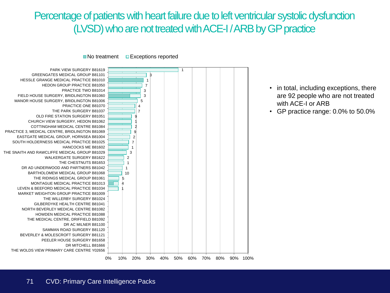### Percentage of patients with heart failure due to left ventricular systolic dysfunction (LVSD) who are not treated with ACE-I / ARB by GP practice

 $\blacksquare$  No treatment  $\blacksquare$  Exceptions reported



- in total, including exceptions, there are 92 people who are not treated with ACE-I or ARB
- GP practice range: 0.0% to 50.0%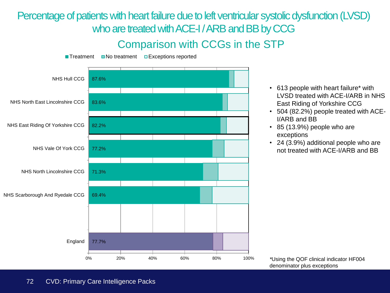Percentage of patients with heart failure due to left ventricular systolic dysfunction (LVSD) who are treated with ACE-I / ARB and BB by CCG

#### Comparison with CCGs in the STP



- 613 people with heart failure\* with LVSD treated with ACE-I/ARB in NHS East Riding of Yorkshire CCG
- 504 (82.2%) people treated with ACE-I/ARB and BB
- 85 (13.9%) people who are exceptions
- 24 (3.9%) additional people who are not treated with ACE-I/ARB and BB

*\**Using the QOF clinical indicator HF004 denominator plus exceptions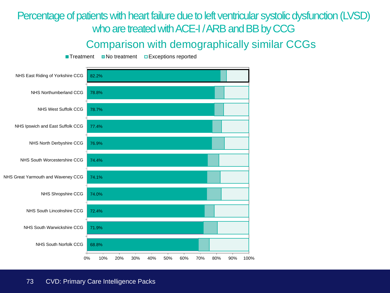#### Percentage of patients with heart failure due to left ventricular systolic dysfunction (LVSD) who are treated with ACE-I/ ARB and BB by CCG

#### Comparison with demographically similar CCGs

 $\blacksquare$  Treatment  $\blacksquare$  No treatment  $\blacksquare$  Exceptions reported

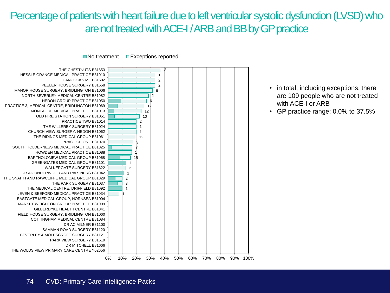#### Percentage of patients with heart failure due to left ventricular systolic dysfunction (LVSD) who are not treated with ACE-I/ ARB and BB by GP practice



- in total, including exceptions, there are 109 people who are not treated with ACE-I or ARB
- GP practice range: 0.0% to 37.5%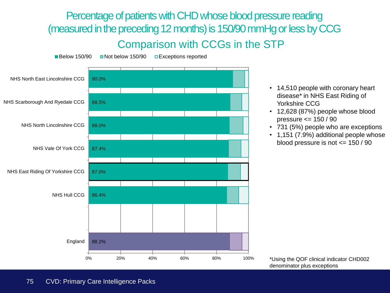Percentage of patients with CHD whose blood pressure reading (measured in the preceding 12 months) is 150/90 mmHg or less by CCG Comparison with CCGs in the STP



- 14,510 people with coronary heart disease\* in NHS East Riding of Yorkshire CCG
- 12,628 (87%) people whose blood pressure <= 150 / 90
- 731 (5%) people who are exceptions
- 1,151 (7.9%) additional people whose blood pressure is not <= 150 / 90

\*Using the QOF clinical indicator CHD002 denominator plus exceptions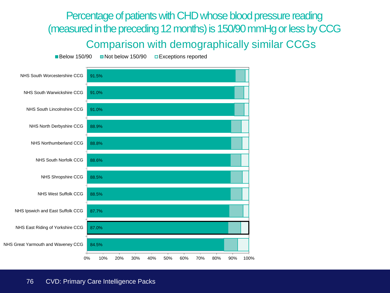Percentage of patients with CHD whose blood pressure reading (measured in the preceding 12 months) is 150/90 mmHg or less by CCG Comparison with demographically similar CCGs

Below 150/90 Not below 150/90 DExceptions reported

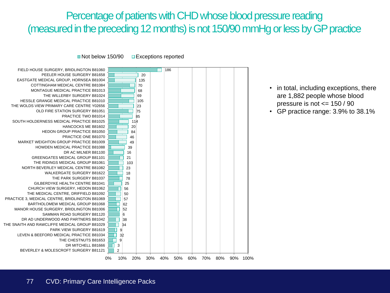## Percentage of patients with CHD whose blood pressure reading (measured in the preceding 12 months) is not 150/90 mmHg or less by GP practice

Not below 150/90 Exceptions reported



- in total, including exceptions, there are 1,882 people whose blood pressure is not <= 150 / 90
- GP practice range: 3.9% to 38.1%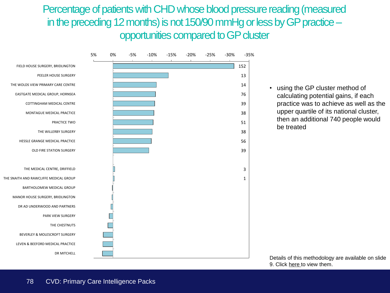Percentage of patients with CHD whose blood pressure reading (measured in the preceding 12 months) is not 150/90 mmHg or less by GP practice – opportunities compared to GP cluster



• using the GP cluster method of calculating potential gains, if each practice was to achieve as well as the upper quartile of its national cluster, then an additional 740 people would be treated

Details of this methodology are available on slide 9. Click [here t](#page-8-0)o view them.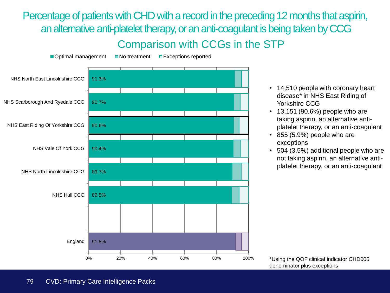Percentage of patients with CHD with a record in the preceding 12 months that aspirin, an alternative anti-platelet therapy, or an anti-coagulant is being taken by CCG Comparison with CCGs in the STP



- 14,510 people with coronary heart disease\* in NHS East Riding of Yorkshire CCG
- 13,151 (90.6%) people who are taking aspirin, an alternative antiplatelet therapy, or an anti-coagulant
- 855 (5.9%) people who are exceptions
- 504 (3.5%) additional people who are not taking aspirin, an alternative antiplatelet therapy, or an anti-coagulant

\*Using the QOF clinical indicator CHD005 denominator plus exceptions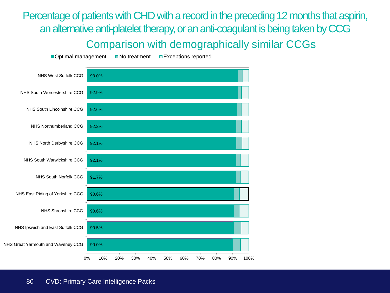Percentage of patients with CHD with a record in the preceding 12 months that aspirin, an alternative anti-platelet therapy, or an anti-coagulant is being taken by CCG Comparison with demographically similar CCGs

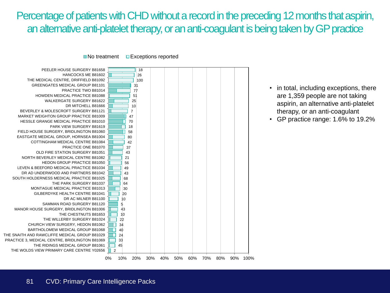## Percentage of patients with CHD without a record in the preceding 12 months that aspirin, an alternative anti-platelet therapy, or an anti-coagulant is being taken by GP practice



 $\blacksquare$  No treatment  $\blacksquare$  Exceptions reported

- in total, including exceptions, there are 1,359 people are not taking aspirin, an alternative anti-platelet therapy, or an anti-coagulant
- GP practice range: 1.6% to 19.2%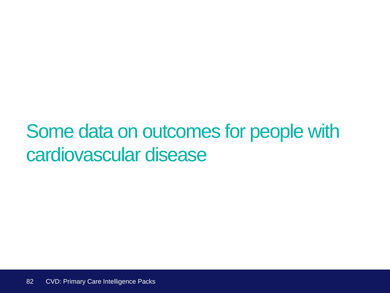# Some data on outcomes for people with cardiovascular disease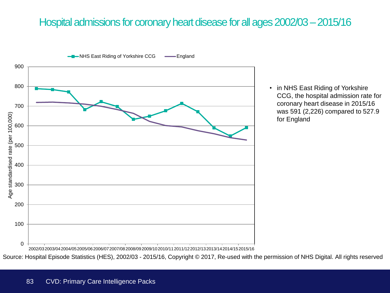## Hospital admissions for coronary heart disease for all ages 2002/03 –2015/16



• in NHS East Riding of Yorkshire CCG, the hospital admission rate for coronary heart disease in 2015/16 was 591 (2,226) compared to 527.9 for England

2002/032003/042004/052005/062006/072007/082008/092009/102010/112011/122012/132013/142014/152015/16

Source: Hospital Episode Statistics (HES), 2002/03 - 2015/16, Copyright © 2017, Re‐used with the permission of NHS Digital. All rights reserved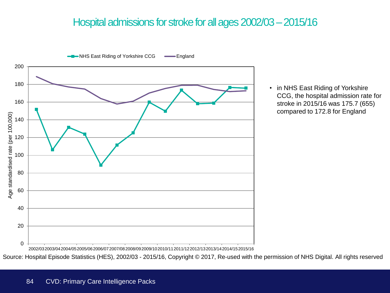#### Hospital admissions for stroke for all ages 2002/03 –2015/16



• in NHS East Riding of Yorkshire CCG, the hospital admission rate for stroke in 2015/16 was 175.7 (655) compared to 172.8 for England

2002/032003/042004/052005/062006/072007/082008/092009/102010/112011/122012/132013/142014/152015/16

Source: Hospital Episode Statistics (HES), 2002/03 - 2015/16, Copyright © 2017, Re‐used with the permission of NHS Digital. All rights reserved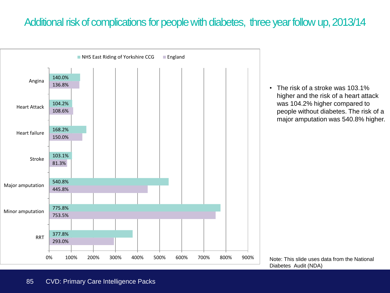#### Additional risk of complications for people with diabetes, three year follow up, 2013/14



• The risk of a stroke was 103.1% higher and the risk of a heart attack was 104.2% higher compared to people without diabetes. The risk of a major amputation was 540.8% higher.

Note: This slide uses data from the National Diabetes Audit (NDA)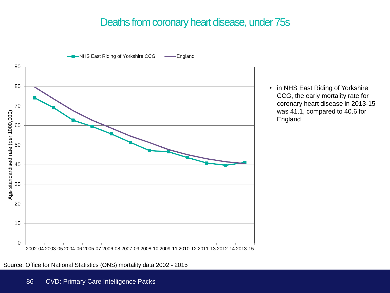#### Deaths from coronary heart disease, under 75s



• in NHS East Riding of Yorkshire CCG, the early mortality rate for coronary heart disease in 2013-15 was 41.1, compared to 40.6 for England

Source: Office for National Statistics (ONS) mortality data 2002 - 2015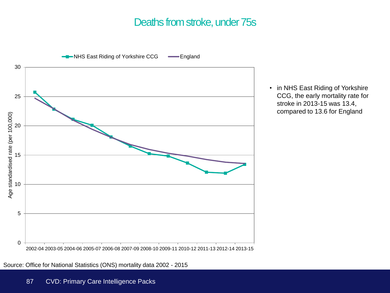#### Deaths from stroke, under 75s



• in NHS East Riding of Yorkshire CCG, the early mortality rate for stroke in 2013-15 was 13.4, compared to 13.6 for England

Source: Office for National Statistics (ONS) mortality data 2002 - 2015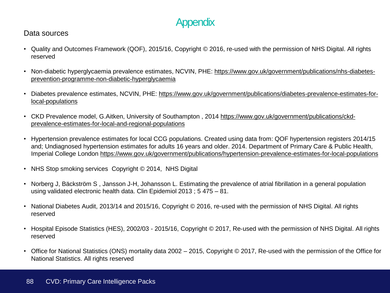## **Appendix**

#### Data sources

- Quality and Outcomes Framework (QOF), 2015/16, Copyright © 2016, re-used with the permission of NHS Digital. All rights reserved
- Non-diabetic hyperglycaemia prevalence estimates, NCVIN, PHE: [https://www.gov.uk/government/publications/nhs-diabetes](https://www.gov.uk/government/publications/nhs-diabetes-prevention-programme-non-diabetic-hyperglycaemia)[prevention-programme-non-diabetic-hyperglycaemia](https://www.gov.uk/government/publications/nhs-diabetes-prevention-programme-non-diabetic-hyperglycaemia)
- Diabetes prevalence estimates, NCVIN, PHE: [https://www.gov.uk/government/publications/diabetes-prevalence-estimates-for](https://www.gov.uk/government/publications/diabetes-prevalence-estimates-for-local-populations)[local-populations](https://www.gov.uk/government/publications/diabetes-prevalence-estimates-for-local-populations)
- CKD Prevalence model, G.Aitken, University of Southampton , 2014 [https://www.gov.uk/government/publications/ckd](https://www.gov.uk/government/publications/ckd-prevalence-estimates-for-local-and-regional-populations)[prevalence-estimates-for-local-and-regional-populations](https://www.gov.uk/government/publications/ckd-prevalence-estimates-for-local-and-regional-populations)
- Hypertension prevalence estimates for local CCG populations. Created using data from: QOF hypertension registers 2014/15 and; Undiagnosed hypertension estimates for adults 16 years and older. 2014. Department of Primary Care & Public Health, Imperial College London <https://www.gov.uk/government/publications/hypertension-prevalence-estimates-for-local-populations>
- NHS Stop smoking services Copyright © 2014, NHS Digital
- Norberg J, Bäckström S , Jansson J-H, Johansson L. Estimating the prevalence of atrial fibrillation in a general population using validated electronic health data. Clin Epidemiol 2013 ; 5 475 – 81.
- National Diabetes Audit, 2013/14 and 2015/16, Copyright © 2016, re-used with the permission of NHS Digital. All rights reserved
- Hospital Episode Statistics (HES), 2002/03 2015/16, Copyright © 2017, Re-used with the permission of NHS Digital. All rights reserved
- Office for National Statistics (ONS) mortality data 2002 2015, Copyright © 2017, Re-used with the permission of the Office for National Statistics. All rights reserved